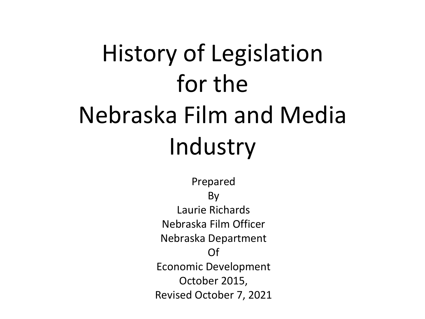# History of Legislation for the Nebraska Film and Media Industry

Prepared By Laurie Richards Nebraska Film Officer Nebraska Department Of Economic Development October 2015, Revised October 7, 2021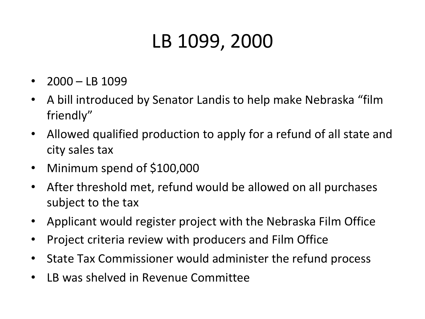# LB 1099, 2000

- $2000 LB$  1099
- A bill introduced by Senator Landis to help make Nebraska "film friendly"
- Allowed qualified production to apply for a refund of all state and city sales tax
- Minimum spend of \$100,000
- After threshold met, refund would be allowed on all purchases subject to the tax
- Applicant would register project with the Nebraska Film Office
- Project criteria review with producers and Film Office
- State Tax Commissioner would administer the refund process
- LB was shelved in Revenue Committee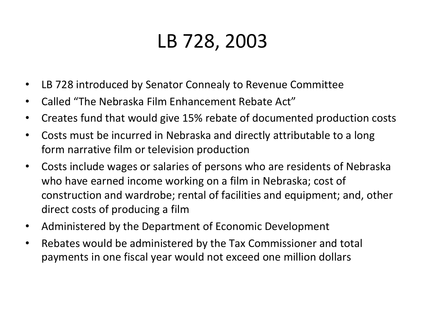# LB 728, 2003

- LB 728 introduced by Senator Connealy to Revenue Committee
- Called "The Nebraska Film Enhancement Rebate Act"
- Creates fund that would give 15% rebate of documented production costs
- Costs must be incurred in Nebraska and directly attributable to a long form narrative film or television production
- Costs include wages or salaries of persons who are residents of Nebraska who have earned income working on a film in Nebraska; cost of construction and wardrobe; rental of facilities and equipment; and, other direct costs of producing a film
- Administered by the Department of Economic Development
- Rebates would be administered by the Tax Commissioner and total payments in one fiscal year would not exceed one million dollars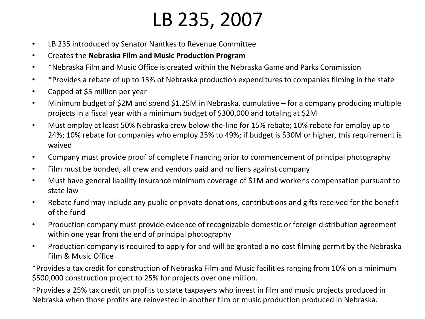#### LB 235, 2007

- LB 235 introduced by Senator Nantkes to Revenue Committee
- **•** Creates the Nebraska Film and Music Production Program
- \*Nebraska Film and Music Office is created within the Nebraska Game and Parks Commission
- \*Provides a rebate of up to 15% of Nebraska production expenditures to companies filming in the state
- Capped at \$5 million per year
- Minimum budget of \$2M and spend \$1.25M in Nebraska, cumulative for a company producing multiple projects in a fiscal year with a minimum budget of \$300,000 and totaling at \$2M
- Must employ at least 50% Nebraska crew below-the-line for 15% rebate; 10% rebate for employ up to 24%; 10% rebate for companies who employ 25% to 49%; if budget is \$30M or higher, this requirement is waived
- Company must provide proof of complete financing prior to commencement of principal photography
- Film must be bonded, all crew and vendors paid and no liens against company
- Must have general liability insurance minimum coverage of \$1M and worker's compensation pursuant to state law
- Rebate fund may include any public or private donations, contributions and gifts received for the benefit of the fund
- Production company must provide evidence of recognizable domestic or foreign distribution agreement within one year from the end of principal photography
- Production company is required to apply for and will be granted a no-cost filming permit by the Nebraska Film & Music Office

\*Provides a tax credit for construction of Nebraska Film and Music facilities ranging from 10% on a minimum \$500,000 construction project to 25% for projects over one million.

\*Provides a 25% tax credit on profits to state taxpayers who invest in film and music projects produced in Nebraska when those profits are reinvested in another film or music production produced in Nebraska.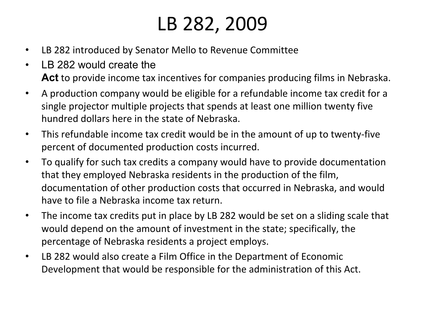# LB 282, 2009

- LB 282 introduced by Senator Mello to Revenue Committee
- LB 282 would create the **Act** to provide income tax incentives for companies producing films in Nebraska.
- A production company would be eligible for a refundable income tax credit for a single projector multiple projects that spends at least one million twenty five hundred dollars here in the state of Nebraska.
- This refundable income tax credit would be in the amount of up to twenty-five percent of documented production costs incurred.
- To qualify for such tax credits a company would have to provide documentation that they employed Nebraska residents in the production of the film, documentation of other production costs that occurred in Nebraska, and would have to file a Nebraska income tax return.
- The income tax credits put in place by LB 282 would be set on a sliding scale that would depend on the amount of investment in the state; specifically, the percentage of Nebraska residents a project employs.
- LB 282 would also create a Film Office in the Department of Economic Development that would be responsible for the administration of this Act.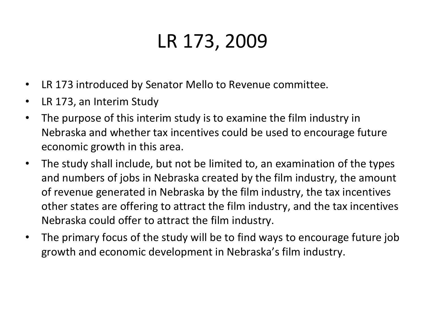# LR 173, 2009

- LR 173 introduced by Senator Mello to Revenue committee.
- LR 173, an Interim Study
- The purpose of this interim study is to examine the film industry in Nebraska and whether tax incentives could be used to encourage future economic growth in this area.
- The study shall include, but not be limited to, an examination of the types and numbers of jobs in Nebraska created by the film industry, the amount of revenue generated in Nebraska by the film industry, the tax incentives other states are offering to attract the film industry, and the tax incentives Nebraska could offer to attract the film industry.
- The primary focus of the study will be to find ways to encourage future job growth and economic development in Nebraska's film industry.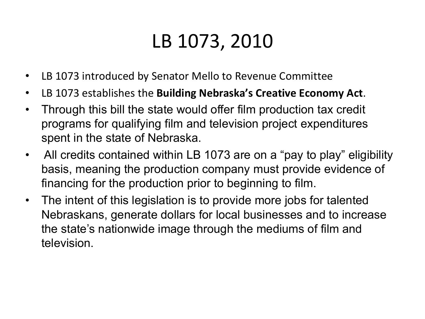### LB 1073, 2010

- LB 1073 introduced by Senator Mello to Revenue Committee
- LB 1073 establishes the **Building Nebraska's Creative Economy Act**.
- Through this bill the state would offer film production tax credit programs for qualifying film and television project expenditures spent in the state of Nebraska.
- All credits contained within LB 1073 are on a "pay to play" eligibility basis, meaning the production company must provide evidence of financing for the production prior to beginning to film.
- The intent of this legislation is to provide more jobs for talented Nebraskans, generate dollars for local businesses and to increase the state's nationwide image through the mediums of film and television.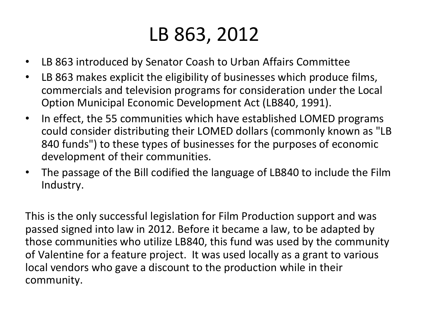### LB 863, 2012

- LB 863 introduced by Senator Coash to Urban Affairs Committee
- LB 863 makes explicit the eligibility of businesses which produce films, commercials and television programs for consideration under the Local Option Municipal Economic Development Act (LB840, 1991).
- In effect, the 55 communities which have established LOMED programs could consider distributing their LOMED dollars (commonly known as "LB 840 funds") to these types of businesses for the purposes of economic development of their communities.
- The passage of the Bill codified the language of LB840 to include the Film Industry.

This is the only successful legislation for Film Production support and was passed signed into law in 2012. Before it became a law, to be adapted by those communities who utilize LB840, this fund was used by the community of Valentine for a feature project. It was used locally as a grant to various local vendors who gave a discount to the production while in their community.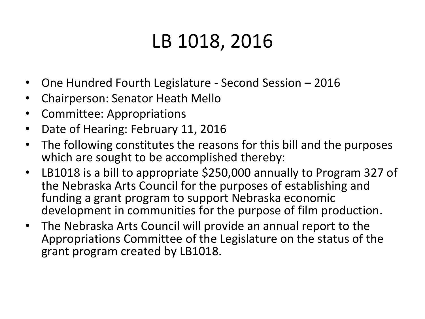#### LB 1018, 2016

- One Hundred Fourth Legislature Second Session 2016
- Chairperson: Senator Heath Mello
- Committee: Appropriations
- Date of Hearing: February 11, 2016
- The following constitutes the reasons for this bill and the purposes which are sought to be accomplished thereby:
- LB1018 is a bill to appropriate \$250,000 annually to Program 327 of the Nebraska Arts Council for the purposes of establishing and funding a grant program to support Nebraska economic development in communities for the purpose of film production.
- The Nebraska Arts Council will provide an annual report to the Appropriations Committee of the Legislature on the status of the grant program created by LB1018.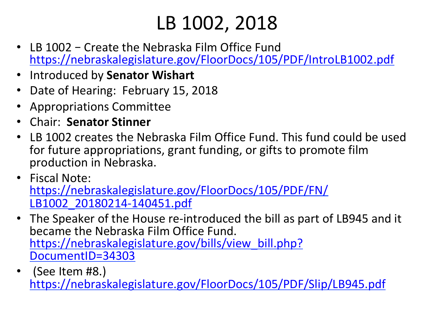# LB 1002, 2018

- LB 1002 Create the Nebraska Film Office Fund https://nebraskalegislature.gov/FloorDocs/105/PDF/IntroLB1002.pdf
- Introduced by **Senator Wishart**
- Date of Hearing: February 15, 2018
- Appropriations Committee
- Chair: **Senator Stinner**
- LB 1002 creates the Nebraska Film Office Fund. This fund could be used for future appropriations, grant funding, or gifts to promote film production in Nebraska.
- Fiscal Note: https://nebraskalegislature.gov/FloorDocs/105/PDF/FN/ LB1002\_20180214-140451.pdf
- The Speaker of the House re-introduced the bill as part of LB945 and it became the Nebraska Film Office Fund. https://nebraskalegislature.gov/bills/view\_bill.php? DocumentID=34303
- (See Item #8.) https://nebraskalegislature.gov/FloorDocs/105/PDF/Slip/LB945.pdf